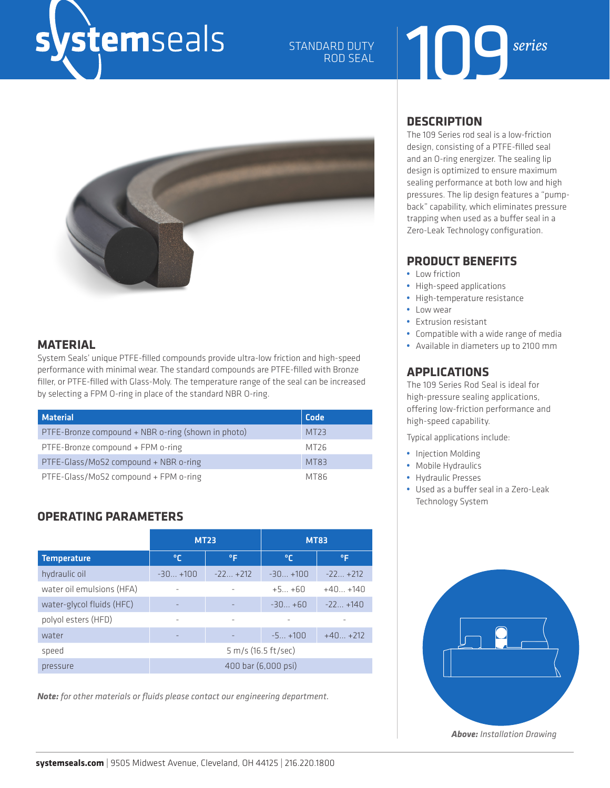## vstemseals

### STANDARD DUTY<br>ROD SEAL **Series** ROD SEAL

### **MATERIAL**

System Seals' unique PTFE-filled compounds provide ultra-low friction and high-speed performance with minimal wear. The standard compounds are PTFE-filled with Bronze filler, or PTFE-filled with Glass-Moly. The temperature range of the seal can be increased by selecting a FPM O-ring in place of the standard NBR O-ring.

| <b>Material</b>                                    | Code        |
|----------------------------------------------------|-------------|
|                                                    |             |
| PTFE-Bronze compound + NBR o-ring (shown in photo) | MT23        |
| PTFE-Bronze compound + FPM o-ring                  | MT26        |
| PTFE-Glass/MoS2 compound + NBR o-ring              | <b>MT83</b> |
| PTFE-Glass/MoS2 compound + FPM o-ring              | MT86        |

### **OPERATING PARAMETERS**

|                           | <b>MT23</b>         |                     | <b>MT83</b> |           |  |  |  |
|---------------------------|---------------------|---------------------|-------------|-----------|--|--|--|
| <b>Temperature</b>        | ℃                   | ۰F                  | ℃           | °F        |  |  |  |
| hydraulic oil             | $-30+100$           | $-22+212$           | $-30+100$   | $-22+212$ |  |  |  |
| water oil emulsions (HFA) |                     |                     | $+5+60$     | $+40+140$ |  |  |  |
| water-glycol fluids (HFC) |                     |                     | $-30+60$    | $-22+140$ |  |  |  |
| polyol esters (HFD)       | ٠                   | ۰                   |             |           |  |  |  |
| water                     | -                   |                     | $-5+100$    | $+40+212$ |  |  |  |
| speed                     |                     | 5 m/s (16.5 ft/sec) |             |           |  |  |  |
| pressure                  | 400 bar (6,000 psi) |                     |             |           |  |  |  |

*Note: for other materials or fluids please contact our engineering department.*

### **DESCRIPTION**

The 109 Series rod seal is a low-friction design, consisting of a PTFE-filled seal and an O-ring energizer. The sealing lip design is optimized to ensure maximum sealing performance at both low and high pressures. The lip design features a "pumpback" capability, which eliminates pressure trapping when used as a buffer seal in a Zero-Leak Technology configuration.

### **PRODUCT BENEFITS**

- **•** Low friction
- **•** High-speed applications
- **•** High-temperature resistance
- **•** Low wear
- **•** Extrusion resistant
- **•** Compatible with a wide range of media
- **•** Available in diameters up to 2100 mm

### **APPLICATIONS**

The 109 Series Rod Seal is ideal for high-pressure sealing applications, offering low-friction performance and high-speed capability.

Typical applications include:

- **•** Injection Molding
- **•** Mobile Hydraulics
- **•** Hydraulic Presses
- **•** Used as a buffer seal in a Zero-Leak Technology System



*Above: Installation Drawing*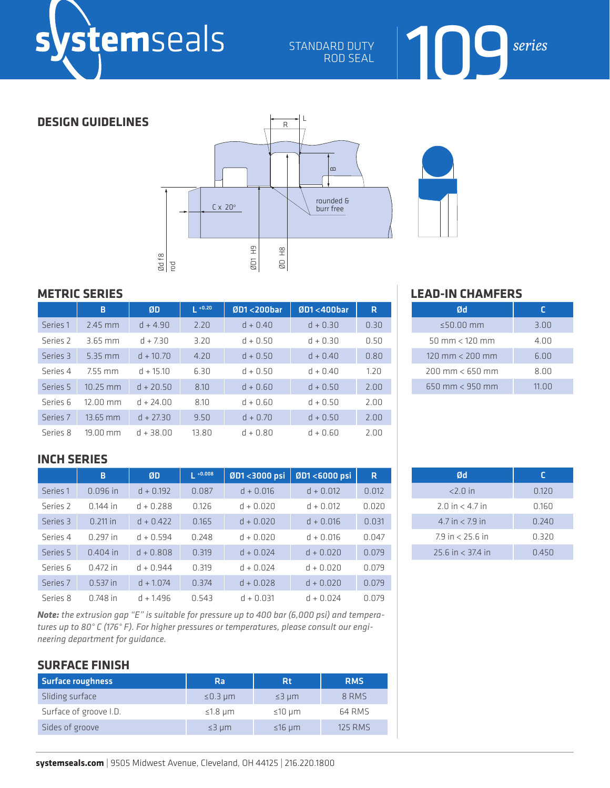STANDARD DUTY ROD SEAL

### **DESIGN GUIDELINES**





### **METRIC SERIES**

|                     | B                  | ØD          | $1 + 0.20$ | $ØD1 < 200$ bar | $ØD1 < 400$ bar | R    |
|---------------------|--------------------|-------------|------------|-----------------|-----------------|------|
| Series 1            | $2.45$ mm          | $d + 4.90$  | 2.20       | $d + 0.40$      | $d + 0.30$      | 0.30 |
| Series <sub>2</sub> | $3.65 \text{ mm}$  | $d + 7.30$  | 3.20       | $d + 0.50$      | $d + 0.30$      | 0.50 |
| Series 3            | $5.35 \text{ mm}$  | $d + 10.70$ | 4.20       | $d + 0.50$      | $d + 0.40$      | 0.80 |
| Series 4            | 7.55 mm            | $d + 15.10$ | 6.30       | $d + 0.50$      | $d + 0.40$      | 1.20 |
| Series 5            | 10.25 mm           | $d + 20.50$ | 8.10       | $d + 0.60$      | $d + 0.50$      | 2.00 |
| Series 6            | $12.00$ mm         | $d + 24.00$ | 8.10       | $d + 0.60$      | $d + 0.50$      | 2.00 |
| Series 7            | $13.65$ mm         | $d + 27.30$ | 9.50       | $d + 0.70$      | $d + 0.50$      | 2.00 |
| Series 8            | $19.00 \text{ mm}$ | $d + 38.00$ | 13.80      | $d + 0.80$      | $d + 0.60$      | 2.00 |

### **INCH SERIES**

|          | B          | ØD          | $ +0.008$ | ØD1<3000 psi | ØD1<6000 psi | R.    |
|----------|------------|-------------|-----------|--------------|--------------|-------|
| Series 1 | $0.096$ in | $d + 0.192$ | 0.087     | $d + 0.016$  | $d + 0.012$  | 0.012 |
| Series 2 | $0.144$ in | $d + 0.288$ | 0.126     | $d + 0.020$  | $d + 0.012$  | 0.020 |
| Series 3 | $0.211$ in | $d + 0.422$ | 0.165     | $d + 0.020$  | $d + 0.016$  | 0.031 |
| Series 4 | $0.297$ in | $d + 0.594$ | 0.248     | $d + 0.020$  | $d + 0.016$  | 0.047 |
| Series 5 | $0.404$ in | $d + 0.808$ | 0.319     | $d + 0.024$  | $d + 0.020$  | 0.079 |
| Series 6 | $0.472$ in | $d + 0.944$ | 0.319     | $d + 0.024$  | $d + 0.020$  | 0.079 |
| Series 7 | $0.537$ in | $d + 1.074$ | 0.374     | $d + 0.028$  | $d + 0.020$  | 0.079 |
| Series 8 | $0.748$ in | $d + 1496$  | 0.543     | $d + 0.031$  | $d + 0.024$  | 0.079 |

*Note: the extrusion gap "E" is suitable for pressure up to 400 bar (6,000 psi) and temperatures up to 80° C (176° F). For higher pressures or temperatures, please consult our engineering department for guidance.*

### **SURFACE FINISH**

| <b>Surface roughness</b> | Ra               | <b>Rt</b>            | <b>RMS</b>     |
|--------------------------|------------------|----------------------|----------------|
| Sliding surface          | $\leq$ 0.3 µm    | $\leq$ 3 $\mu$ m     | 8 RMS          |
| Surface of groove I.D.   | $\leq$ 1.8 µm    | $\leq 10 \text{ µm}$ | 64 RMS         |
| Sides of groove          | $\leq$ 3 $\mu$ m | $\leq$ 16 um         | <b>125 RMS</b> |

### **LEAD-IN CHAMFERS**

| Ød                                    |       |
|---------------------------------------|-------|
| $\leq$ 50.00 mm                       | 3.00  |
| $50 \, \text{mm} < 120 \, \text{mm}$  | 4.00  |
| $120 \text{ mm} < 200 \text{ mm}$     | 6.00  |
| $200 \, \text{mm} < 650 \, \text{mm}$ | 8.00  |
| $650 \text{ mm} < 950 \text{ mm}$     | 11.00 |

109*series*

| Ød                    | г     |
|-----------------------|-------|
| $<$ 2.0 in            | 0.120 |
| $2.0$ in $< 4.7$ in   | 0.160 |
| $4.7$ in $< 7.9$ in   | 0.240 |
| 79 in < 25.6 in       | 0.320 |
| $25.6$ in $<$ 37.4 in | 0.450 |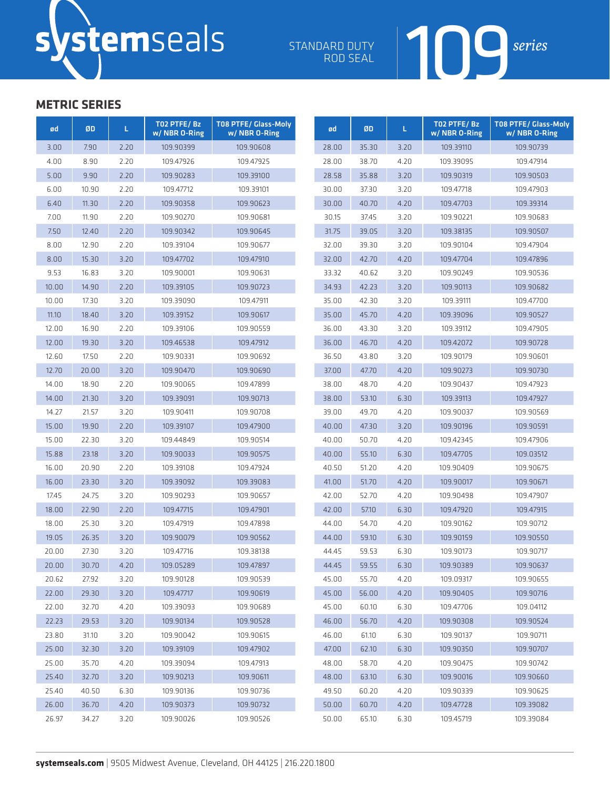ROD SEAL



| ød    | ØD    | L.   | TO2 PTFE/Bz<br>w/ NBR 0-Ring | <b>T08 PTFE/ Glass-Moly</b><br>w/ NBR 0-Ring | ød    | ØD    | L.   | T02 PTFE/Bz<br>w/NBR 0-Ring | <b>T08 PTFE/ Glass-Moly</b><br>w/ NBR 0-Ring |
|-------|-------|------|------------------------------|----------------------------------------------|-------|-------|------|-----------------------------|----------------------------------------------|
| 3.00  | 7.90  | 2.20 | 109.90399                    | 109.90608                                    | 28.00 | 35.30 | 3.20 | 109.39110                   | 109.90739                                    |
| 4.00  | 8.90  | 2.20 | 109.47926                    | 109.47925                                    | 28.00 | 38.70 | 4.20 | 109.39095                   | 109.47914                                    |
| 5.00  | 9.90  | 2.20 | 109.90283                    | 109.39100                                    | 28.58 | 35.88 | 3.20 | 109.90319                   | 109.90503                                    |
| 6.00  | 10.90 | 2.20 | 109.47712                    | 109.39101                                    | 30.00 | 37.30 | 3.20 | 109.47718                   | 109.47903                                    |
| 6.40  | 11.30 | 2.20 | 109.90358                    | 109.90623                                    | 30.00 | 40.70 | 4.20 | 109.47703                   | 109.39314                                    |
| 7.00  | 11.90 | 2.20 | 109.90270                    | 109.90681                                    | 30.15 | 37.45 | 3.20 | 109.90221                   | 109.90683                                    |
| 7.50  | 12.40 | 2.20 | 109.90342                    | 109.90645                                    | 31.75 | 39.05 | 3.20 | 109.38135                   | 109.90507                                    |
| 8.00  | 12.90 | 2.20 | 109.39104                    | 109.90677                                    | 32.00 | 39.30 | 3.20 | 109.90104                   | 109.47904                                    |
| 8.00  | 15.30 | 3.20 | 109.47702                    | 109.47910                                    | 32.00 | 42.70 | 4.20 | 109.47704                   | 109.47896                                    |
| 9.53  | 16.83 | 3.20 | 109.90001                    | 109.90631                                    | 33.32 | 40.62 | 3.20 | 109.90249                   | 109.90536                                    |
| 10.00 | 14.90 | 2.20 | 109.39105                    | 109.90723                                    | 34.93 | 42.23 | 3.20 | 109.90113                   | 109.90682                                    |
| 10.00 | 17.30 | 3.20 | 109.39090                    | 109.47911                                    | 35.00 | 42.30 | 3.20 | 109.39111                   | 109.47700                                    |
| 11.10 | 18.40 | 3.20 | 109.39152                    | 109.90617                                    | 35.00 | 45.70 | 4.20 | 109.39096                   | 109.90527                                    |
| 12.00 | 16.90 | 2.20 | 109.39106                    | 109.90559                                    | 36.00 | 43.30 | 3.20 | 109.39112                   | 109.47905                                    |
| 12.00 | 19.30 | 3.20 | 109.46538                    | 109.47912                                    | 36.00 | 46.70 | 4.20 | 109.42072                   | 109.90728                                    |
| 12.60 | 17.50 | 2.20 | 109.90331                    | 109.90692                                    | 36.50 | 43.80 | 3.20 | 109.90179                   | 109.90601                                    |
| 12.70 | 20.00 | 3.20 | 109.90470                    | 109.90690                                    | 37.00 | 47.70 | 4.20 | 109.90273                   | 109.90730                                    |
| 14.00 | 18.90 | 2.20 | 109.90065                    | 109.47899                                    | 38.00 | 48.70 | 4.20 | 109.90437                   | 109.47923                                    |
| 14.00 | 21.30 | 3.20 | 109.39091                    | 109.90713                                    | 38.00 | 53.10 | 6.30 | 109.39113                   | 109.47927                                    |
| 14.27 | 21.57 | 3.20 | 109.90411                    | 109.90708                                    | 39.00 | 49.70 | 4.20 | 109.90037                   | 109.90569                                    |
| 15.00 | 19.90 | 2.20 | 109.39107                    | 109.47900                                    | 40.00 | 47.30 | 3.20 | 109.90196                   | 109.90591                                    |
| 15.00 | 22.30 | 3.20 | 109.44849                    | 109.90514                                    | 40.00 | 50.70 | 4.20 | 109.42345                   | 109.47906                                    |
| 15.88 | 23.18 | 3.20 | 109.90033                    | 109.90575                                    | 40.00 | 55.10 | 6.30 | 109.47705                   | 109.03512                                    |
| 16.00 | 20.90 | 2.20 | 109.39108                    | 109.47924                                    | 40.50 | 51.20 | 4.20 | 109.90409                   | 109.90675                                    |
| 16.00 | 23.30 | 3.20 | 109.39092                    | 109.39083                                    | 41.00 | 51.70 | 4.20 | 109.90017                   | 109.90671                                    |
| 17.45 | 24.75 | 3.20 | 109.90293                    | 109.90657                                    | 42.00 | 52.70 | 4.20 | 109.90498                   | 109.47907                                    |
| 18.00 | 22.90 | 2.20 | 109.47715                    | 109.47901                                    | 42.00 | 57.10 | 6.30 | 109.47920                   | 109.47915                                    |
| 18.00 | 25.30 | 3.20 | 109.47919                    | 109.47898                                    | 44.00 | 54.70 | 4.20 | 109.90162                   | 109.90712                                    |
| 19.05 | 26.35 | 3.20 | 109.90079                    | 109.90562                                    | 44.00 | 59.10 | 6.30 | 109.90159                   | 109.90550                                    |
| 20.00 | 27.30 | 3.20 | 109.47716                    | 109.38138                                    | 44.45 | 59.53 | 6.30 | 109.90173                   | 109.90717                                    |
| 20.00 | 30.70 | 4.20 | 109.05289                    | 109.47897                                    | 44.45 | 59.55 | 6.30 | 109.90389                   | 109.90637                                    |
| 20.62 | 27.92 | 3.20 | 109.90128                    | 109.90539                                    | 45.00 | 55.70 | 4.20 | 109.09317                   | 109.90655                                    |
| 22.00 | 29.30 | 3.20 | 109.47717                    | 109.90619                                    | 45.00 | 56.00 | 4.20 | 109.90405                   | 109.90716                                    |
| 22.00 | 32.70 | 4.20 | 109.39093                    | 109.90689                                    | 45.00 | 60.10 | 6.30 | 109.47706                   | 109.04112                                    |
| 22.23 | 29.53 | 3.20 | 109.90134                    | 109.90528                                    | 46.00 | 56.70 | 4.20 | 109.90308                   | 109.90524                                    |
| 23.80 | 31.10 | 3.20 | 109.90042                    | 109.90615                                    | 46.00 | 61.10 | 6.30 | 109.90137                   | 109.90711                                    |
| 25.00 | 32.30 | 3.20 | 109.39109                    | 109.47902                                    | 47.00 | 62.10 | 6.30 | 109.90350                   | 109.90707                                    |
| 25.00 | 35.70 | 4.20 | 109.39094                    | 109.47913                                    | 48.00 | 58.70 | 4.20 | 109.90475                   | 109.90742                                    |
| 25.40 | 32.70 | 3.20 | 109.90213                    | 109.90611                                    | 48.00 | 63.10 | 6.30 | 109.90016                   | 109.90660                                    |
| 25.40 | 40.50 | 6.30 | 109.90136                    | 109.90736                                    | 49.50 | 60.20 | 4.20 | 109.90339                   | 109.90625                                    |
| 26.00 | 36.70 | 4.20 | 109.90373                    | 109.90732                                    | 50.00 | 60.70 | 4.20 | 109.47728                   | 109.39082                                    |
| 26.97 | 34.27 | 3.20 | 109.90026                    | 109.90526                                    | 50.00 | 65.10 | 6.30 | 109.45719                   | 109.39084                                    |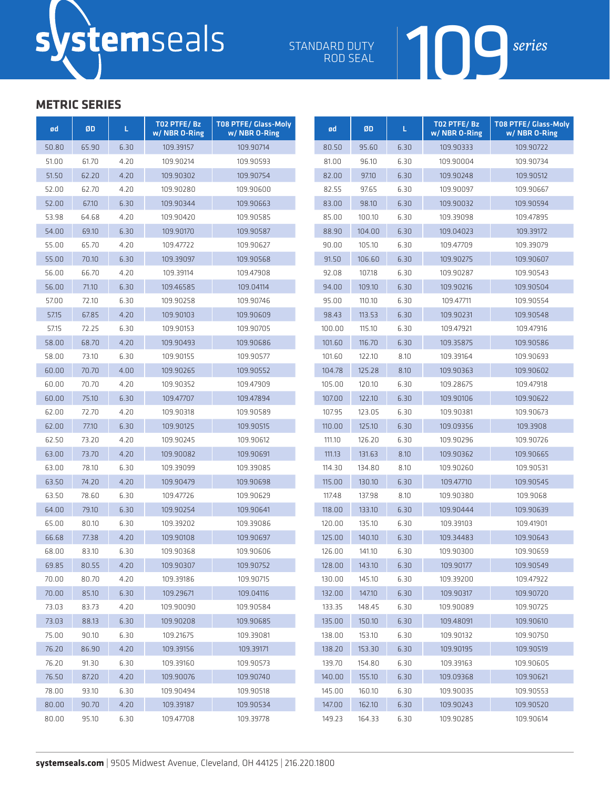ROD SEAL



| ød    | ØD    | L    | TO2 PTFE/Bz<br>w/ NBR 0-Ring | <b>T08 PTFE/ Glass-Moly</b><br>w/ NBR 0-Ring | ød     | ØD     | L.   | T02 PTFE/Bz<br>w/NBR 0-Ring | <b>T08 PTFE/ Glass-Moly</b><br>w/ NBR 0-Ring |
|-------|-------|------|------------------------------|----------------------------------------------|--------|--------|------|-----------------------------|----------------------------------------------|
| 50.80 | 65.90 | 6.30 | 109.39157                    | 109.90714                                    | 80.50  | 95.60  | 6.30 | 109.90333                   | 109.90722                                    |
| 51.00 | 61.70 | 4.20 | 109.90214                    | 109.90593                                    | 81.00  | 96.10  | 6.30 | 109.90004                   | 109.90734                                    |
| 51.50 | 62.20 | 4.20 | 109.90302                    | 109.90754                                    | 82.00  | 97.10  | 6.30 | 109.90248                   | 109.90512                                    |
| 52.00 | 62.70 | 4.20 | 109.90280                    | 109.90600                                    | 82.55  | 97.65  | 6.30 | 109.90097                   | 109.90667                                    |
| 52.00 | 67.10 | 6.30 | 109.90344                    | 109.90663                                    | 83.00  | 98.10  | 6.30 | 109.90032                   | 109.90594                                    |
| 53.98 | 64.68 | 4.20 | 109.90420                    | 109.90585                                    | 85.00  | 100.10 | 6.30 | 109.39098                   | 109.47895                                    |
| 54.00 | 69.10 | 6.30 | 109.90170                    | 109.90587                                    | 88.90  | 104.00 | 6.30 | 109.04023                   | 109.39172                                    |
| 55.00 | 65.70 | 4.20 | 109.47722                    | 109.90627                                    | 90.00  | 105.10 | 6.30 | 109.47709                   | 109.39079                                    |
| 55.00 | 70.10 | 6.30 | 109.39097                    | 109.90568                                    | 91.50  | 106.60 | 6.30 | 109.90275                   | 109.90607                                    |
| 56.00 | 66.70 | 4.20 | 109.39114                    | 109.47908                                    | 92.08  | 107.18 | 6.30 | 109.90287                   | 109.90543                                    |
| 56.00 | 71.10 | 6.30 | 109.46585                    | 109.04114                                    | 94.00  | 109.10 | 6.30 | 109.90216                   | 109.90504                                    |
| 57.00 | 72.10 | 6.30 | 109.90258                    | 109.90746                                    | 95.00  | 110.10 | 6.30 | 109.47711                   | 109.90554                                    |
| 57.15 | 67.85 | 4.20 | 109.90103                    | 109.90609                                    | 98.43  | 113.53 | 6.30 | 109.90231                   | 109.90548                                    |
| 57.15 | 72.25 | 6.30 | 109.90153                    | 109.90705                                    | 100.00 | 115.10 | 6.30 | 109.47921                   | 109.47916                                    |
| 58.00 | 68.70 | 4.20 | 109.90493                    | 109.90686                                    | 101.60 | 116.70 | 6.30 | 109.35875                   | 109.90586                                    |
| 58.00 | 73.10 | 6.30 | 109.90155                    | 109.90577                                    | 101.60 | 122.10 | 8.10 | 109.39164                   | 109.90693                                    |
| 60.00 | 70.70 | 4.00 | 109.90265                    | 109.90552                                    | 104.78 | 125.28 | 8.10 | 109.90363                   | 109.90602                                    |
| 60.00 | 70.70 | 4.20 | 109.90352                    | 109.47909                                    | 105.00 | 120.10 | 6.30 | 109.28675                   | 109.47918                                    |
| 60.00 | 75.10 | 6.30 | 109.47707                    | 109.47894                                    | 107.00 | 122.10 | 6.30 | 109.90106                   | 109.90622                                    |
| 62.00 | 72.70 | 4.20 | 109.90318                    | 109.90589                                    | 107.95 | 123.05 | 6.30 | 109.90381                   | 109.90673                                    |
| 62.00 | 77.10 | 6.30 | 109.90125                    | 109.90515                                    | 110.00 | 125.10 | 6.30 | 109.09356                   | 109.3908                                     |
| 62.50 | 73.20 | 4.20 | 109.90245                    | 109.90612                                    | 111.10 | 126.20 | 6.30 | 109.90296                   | 109.90726                                    |
| 63.00 | 73.70 | 4.20 | 109.90082                    | 109.90691                                    | 111.13 | 131.63 | 8.10 | 109.90362                   | 109.90665                                    |
| 63.00 | 78.10 | 6.30 | 109.39099                    | 109.39085                                    | 114.30 | 134.80 | 8.10 | 109.90260                   | 109.90531                                    |
| 63.50 | 74.20 | 4.20 | 109.90479                    | 109.90698                                    | 115.00 | 130.10 | 6.30 | 109.47710                   | 109.90545                                    |
| 63.50 | 78.60 | 6.30 | 109.47726                    | 109.90629                                    | 117.48 | 137.98 | 8.10 | 109.90380                   | 109.9068                                     |
| 64.00 | 79.10 | 6.30 | 109.90254                    | 109.90641                                    | 118.00 | 133.10 | 6.30 | 109.90444                   | 109.90639                                    |
| 65.00 | 80.10 | 6.30 | 109.39202                    | 109.39086                                    | 120.00 | 135.10 | 6.30 | 109.39103                   | 109.41901                                    |
| 66.68 | 77.38 | 4.20 | 109.90108                    | 109.90697                                    | 125.00 | 140.10 | 6.30 | 109.34483                   | 109.90643                                    |
| 68.00 | 83.10 | 6.30 | 109.90368                    | 109.90606                                    | 126.00 | 141.10 | 6.30 | 109.90300                   | 109.90659                                    |
| 69.85 | 80.55 | 4.20 | 109.90307                    | 109.90752                                    | 128.00 | 143.10 | 6.30 | 109.90177                   | 109.90549                                    |
| 70.00 | 80.70 | 4.20 | 109.39186                    | 109.90715                                    | 130.00 | 145.10 | 6.30 | 109.39200                   | 109.47922                                    |
| 70.00 | 85.10 | 6.30 | 109.29671                    | 109.04116                                    | 132.00 | 147.10 | 6.30 | 109.90317                   | 109.90720                                    |
| 73.03 | 83.73 | 4.20 | 109.90090                    | 109.90584                                    | 133.35 | 148.45 | 6.30 | 109.90089                   | 109.90725                                    |
| 73.03 | 88.13 | 6.30 | 109.90208                    | 109.90685                                    | 135.00 | 150.10 | 6.30 | 109.48091                   | 109.90610                                    |
| 75.00 | 90.10 | 6.30 | 109.21675                    | 109.39081                                    | 138.00 | 153.10 | 6.30 | 109.90132                   | 109.90750                                    |
| 76.20 | 86.90 | 4.20 | 109.39156                    | 109.39171                                    | 138.20 | 153.30 | 6.30 | 109.90195                   | 109.90519                                    |
| 76.20 | 91.30 | 6.30 | 109.39160                    | 109.90573                                    | 139.70 | 154.80 | 6.30 | 109.39163                   | 109.90605                                    |
| 76.50 | 87.20 | 4.20 | 109.90076                    | 109.90740                                    | 140.00 | 155.10 | 6.30 | 109.09368                   | 109.90621                                    |
| 78.00 | 93.10 | 6.30 | 109.90494                    | 109.90518                                    | 145.00 | 160.10 | 6.30 | 109.90035                   | 109.90553                                    |
| 80.00 | 90.70 | 4.20 | 109.39187                    | 109.90534                                    | 147.00 | 162.10 | 6.30 | 109.90243                   | 109.90520                                    |
| 80.00 | 95.10 | 6.30 | 109.47708                    | 109.39778                                    | 149.23 | 164.33 | 6.30 | 109.90285                   | 109.90614                                    |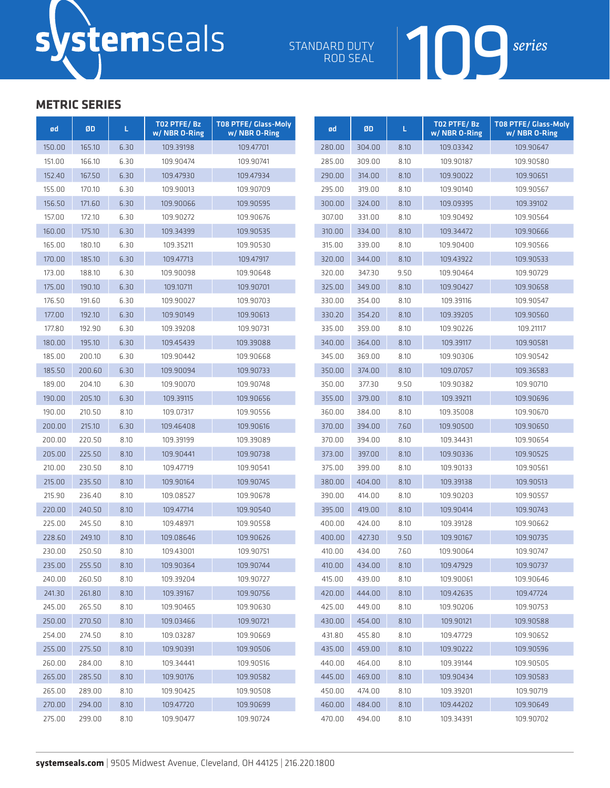ROD SEAL



| ød     | ØD     | L.   | TO2 PTFE/Bz<br>w/ NBR 0-Ring | <b>T08 PTFE/ Glass-Moly</b><br>w/ NBR 0-Ring | ød     | ØD     | L.   | TO2 PTFE/Bz<br>w/ NBR 0-Ring | <b>T08 PTFE/ Glass-Molv</b><br>w/ NBR 0-Ring |
|--------|--------|------|------------------------------|----------------------------------------------|--------|--------|------|------------------------------|----------------------------------------------|
| 150.00 | 165.10 | 6.30 | 109.39198                    | 109.47701                                    | 280.00 | 304.00 | 8.10 | 109.03342                    | 109.90647                                    |
| 151.00 | 166.10 | 6.30 | 109.90474                    | 109.90741                                    | 285.00 | 309.00 | 8.10 | 109.90187                    | 109.90580                                    |
| 152.40 | 167.50 | 6.30 | 109.47930                    | 109.47934                                    | 290.00 | 314.00 | 8.10 | 109.90022                    | 109.90651                                    |
| 155.00 | 170.10 | 6.30 | 109.90013                    | 109.90709                                    | 295.00 | 319.00 | 8.10 | 109.90140                    | 109.90567                                    |
| 156.50 | 171.60 | 6.30 | 109.90066                    | 109.90595                                    | 300.00 | 324.00 | 8.10 | 109.09395                    | 109.39102                                    |
| 157.00 | 172.10 | 6.30 | 109.90272                    | 109.90676                                    | 307.00 | 331.00 | 8.10 | 109.90492                    | 109.90564                                    |
| 160.00 | 175.10 | 6.30 | 109.34399                    | 109.90535                                    | 310.00 | 334.00 | 8.10 | 109.34472                    | 109.90666                                    |
| 165.00 | 180.10 | 6.30 | 109.35211                    | 109.90530                                    | 315.00 | 339.00 | 8.10 | 109.90400                    | 109.90566                                    |
| 170.00 | 185.10 | 6.30 | 109.47713                    | 109.47917                                    | 320.00 | 344.00 | 8.10 | 109.43922                    | 109.90533                                    |
| 173.00 | 188.10 | 6.30 | 109.90098                    | 109.90648                                    | 320.00 | 347.30 | 9.50 | 109.90464                    | 109.90729                                    |
| 175.00 | 190.10 | 6.30 | 109.10711                    | 109.90701                                    | 325.00 | 349.00 | 8.10 | 109.90427                    | 109.90658                                    |
| 176.50 | 191.60 | 6.30 | 109.90027                    | 109.90703                                    | 330.00 | 354.00 | 8.10 | 109.39116                    | 109.90547                                    |
| 177.00 | 192.10 | 6.30 | 109.90149                    | 109.90613                                    | 330.20 | 354.20 | 8.10 | 109.39205                    | 109.90560                                    |
| 177.80 | 192.90 | 6.30 | 109.39208                    | 109.90731                                    | 335.00 | 359.00 | 8.10 | 109.90226                    | 109.21117                                    |
| 180.00 | 195.10 | 6.30 | 109.45439                    | 109.39088                                    | 340.00 | 364.00 | 8.10 | 109.39117                    | 109.90581                                    |
| 185.00 | 200.10 | 6.30 | 109.90442                    | 109.90668                                    | 345.00 | 369.00 | 8.10 | 109.90306                    | 109.90542                                    |
| 185.50 | 200.60 | 6.30 | 109.90094                    | 109.90733                                    | 350.00 | 374.00 | 8.10 | 109.07057                    | 109.36583                                    |
| 189.00 | 204.10 | 6.30 | 109.90070                    | 109.90748                                    | 350.00 | 377.30 | 9.50 | 109.90382                    | 109.90710                                    |
| 190.00 | 205.10 | 6.30 | 109.39115                    | 109.90656                                    | 355.00 | 379.00 | 8.10 | 109.39211                    | 109.90696                                    |
| 190.00 | 210.50 | 8.10 | 109.07317                    | 109.90556                                    | 360.00 | 384.00 | 8.10 | 109.35008                    | 109.90670                                    |
| 200.00 | 215.10 | 6.30 | 109.46408                    | 109.90616                                    | 370.00 | 394.00 | 7.60 | 109.90500                    | 109.90650                                    |
| 200.00 | 220.50 | 8.10 | 109.39199                    | 109.39089                                    | 370.00 | 394.00 | 8.10 | 109.34431                    | 109.90654                                    |
| 205.00 | 225.50 | 8.10 | 109.90441                    | 109.90738                                    | 373.00 | 397.00 | 8.10 | 109.90336                    | 109.90525                                    |
| 210.00 | 230.50 | 8.10 | 109.47719                    | 109.90541                                    | 375.00 | 399.00 | 8.10 | 109.90133                    | 109.90561                                    |
| 215.00 | 235.50 | 8.10 | 109.90164                    | 109.90745                                    | 380.00 | 404.00 | 8.10 | 109.39138                    | 109.90513                                    |
| 215.90 | 236.40 | 8.10 | 109.08527                    | 109.90678                                    | 390.00 | 414.00 | 8.10 | 109.90203                    | 109.90557                                    |
| 220.00 | 240.50 | 8.10 | 109.47714                    | 109.90540                                    | 395.00 | 419.00 | 8.10 | 109.90414                    | 109.90743                                    |
| 225.00 | 245.50 | 8.10 | 109.48971                    | 109.90558                                    | 400.00 | 424.00 | 8.10 | 109.39128                    | 109.90662                                    |
| 228.60 | 249.10 | 8.10 | 109.08646                    | 109.90626                                    | 400.00 | 427.30 | 9.50 | 109.90167                    | 109.90735                                    |
| 230.00 | 250.50 | 8.10 | 109.43001                    | 109.90751                                    | 410.00 | 434.00 | 7.60 | 109.90064                    | 109.90747                                    |
| 235.00 | 255.50 | 8.10 | 109.90364                    | 109.90744                                    | 410.00 | 434.00 | 8.10 | 109.47929                    | 109.90737                                    |
| 240.00 | 260.50 | 8.10 | 109.39204                    | 109.90727                                    | 415.00 | 439.00 | 8.10 | 109.90061                    | 109.90646                                    |
| 241.30 | 261.80 | 8.10 | 109.39167                    | 109.90756                                    | 420.00 | 444.00 | 8.10 | 109.42635                    | 109.47724                                    |
| 245.00 | 265.50 | 8.10 | 109.90465                    | 109.90630                                    | 425.00 | 449.00 | 8.10 | 109.90206                    | 109.90753                                    |
| 250.00 | 270.50 | 8.10 | 109.03466                    | 109.90721                                    | 430.00 | 454.00 | 8.10 | 109.90121                    | 109.90588                                    |
| 254.00 | 274.50 | 8.10 | 109.03287                    | 109.90669                                    | 431.80 | 455.80 | 8.10 | 109.47729                    | 109.90652                                    |
| 255.00 | 275.50 | 8.10 | 109.90391                    | 109.90506                                    | 435.00 | 459.00 | 8.10 | 109.90222                    | 109.90596                                    |
| 260.00 | 284.00 | 8.10 | 109.34441                    | 109.90516                                    | 440.00 | 464.00 | 8.10 | 109.39144                    | 109.90505                                    |
| 265.00 | 285.50 | 8.10 | 109.90176                    | 109.90582                                    | 445.00 | 469.00 | 8.10 | 109.90434                    | 109.90583                                    |
| 265.00 | 289.00 | 8.10 | 109.90425                    | 109.90508                                    | 450.00 | 474.00 | 8.10 | 109.39201                    | 109.90719                                    |
| 270.00 | 294.00 | 8.10 | 109.47720                    | 109.90699                                    | 460.00 | 484.00 | 8.10 | 109.44202                    | 109.90649                                    |
| 275.00 | 299.00 | 8.10 | 109.90477                    | 109.90724                                    | 470.00 | 494.00 | 8.10 | 109.34391                    | 109.90702                                    |